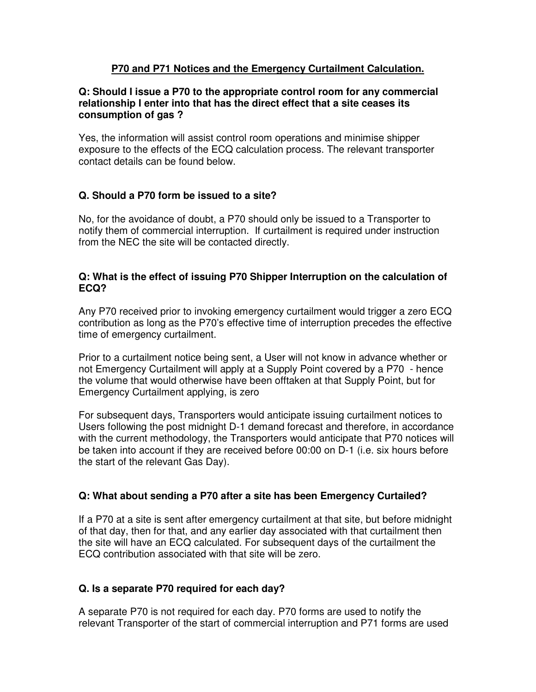### **P70 and P71 Notices and the Emergency Curtailment Calculation.**

#### **Q: Should I issue a P70 to the appropriate control room for any commercial relationship I enter into that has the direct effect that a site ceases its consumption of gas ?**

Yes, the information will assist control room operations and minimise shipper exposure to the effects of the ECQ calculation process. The relevant transporter contact details can be found below.

## **Q. Should a P70 form be issued to a site?**

No, for the avoidance of doubt, a P70 should only be issued to a Transporter to notify them of commercial interruption. If curtailment is required under instruction from the NEC the site will be contacted directly.

#### **Q: What is the effect of issuing P70 Shipper Interruption on the calculation of ECQ?**

Any P70 received prior to invoking emergency curtailment would trigger a zero ECQ contribution as long as the P70's effective time of interruption precedes the effective time of emergency curtailment.

Prior to a curtailment notice being sent, a User will not know in advance whether or not Emergency Curtailment will apply at a Supply Point covered by a P70 - hence the volume that would otherwise have been offtaken at that Supply Point, but for Emergency Curtailment applying, is zero

For subsequent days, Transporters would anticipate issuing curtailment notices to Users following the post midnight D-1 demand forecast and therefore, in accordance with the current methodology, the Transporters would anticipate that P70 notices will be taken into account if they are received before 00:00 on D-1 (i.e. six hours before the start of the relevant Gas Day).

# **Q: What about sending a P70 after a site has been Emergency Curtailed?**

If a P70 at a site is sent after emergency curtailment at that site, but before midnight of that day, then for that, and any earlier day associated with that curtailment then the site will have an ECQ calculated. For subsequent days of the curtailment the ECQ contribution associated with that site will be zero.

# **Q. Is a separate P70 required for each day?**

A separate P70 is not required for each day. P70 forms are used to notify the relevant Transporter of the start of commercial interruption and P71 forms are used